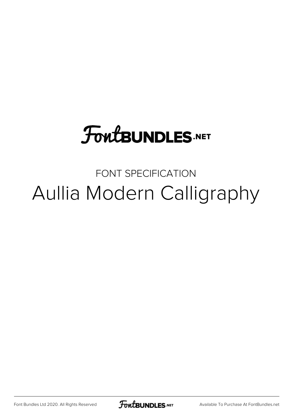# **FoutBUNDLES.NET**

FONT SPECIFICATION Aullia Modern Calligraphy

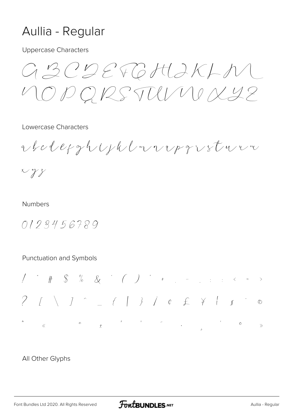## Aullia - Regular

**Uppercase Characters** 

 $GBCDEFGHJKLN$ LO P Q RS TULI V V X 42

Lowercase Characters

rbclefghtphlwvrpqvstvvn

 $\times \gamma$ 

#### **Numbers**

0123456789

#### Punctuation and Symbols



### All Other Glyphs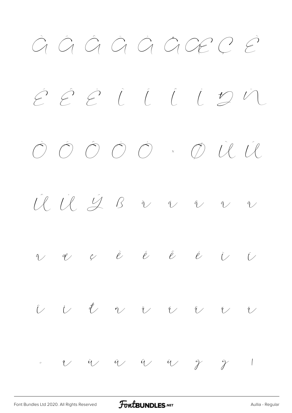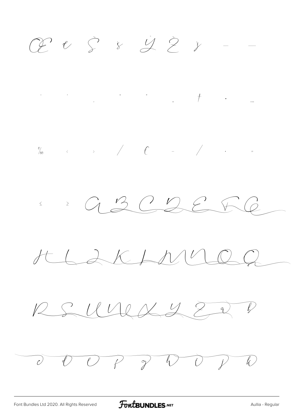$C2$   $C_5$   $S_5$   $C_6$   $C_7$   $D_8$ 





 $HLAKANV$ 

 $RSLUMAZZI$ 

 $\overline{O}$   $\overline{O}$   $\overline{O}$   $\overline{O}$   $\overline{O}$   $\overline{O}$   $\overline{O}$   $\overline{O}$   $\overline{O}$   $\overline{O}$   $\overline{O}$